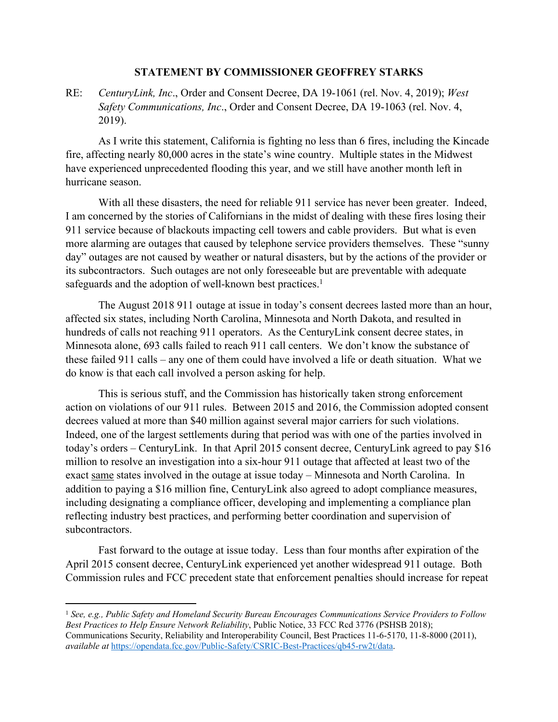## **STATEMENT BY COMMISSIONER GEOFFREY STARKS**

RE: *CenturyLink, Inc*., Order and Consent Decree, DA 19-1061 (rel. Nov. 4, 2019); *West Safety Communications, Inc*., Order and Consent Decree, DA 19-1063 (rel. Nov. 4, 2019).

As I write this statement, California is fighting no less than 6 fires, including the Kincade fire, affecting nearly 80,000 acres in the state's wine country. Multiple states in the Midwest have experienced unprecedented flooding this year, and we still have another month left in hurricane season.

With all these disasters, the need for reliable 911 service has never been greater. Indeed, I am concerned by the stories of Californians in the midst of dealing with these fires losing their 911 service because of blackouts impacting cell towers and cable providers. But what is even more alarming are outages that caused by telephone service providers themselves. These "sunny day" outages are not caused by weather or natural disasters, but by the actions of the provider or its subcontractors. Such outages are not only foreseeable but are preventable with adequate safeguards and the adoption of well-known best practices.<sup>1</sup>

The August 2018 911 outage at issue in today's consent decrees lasted more than an hour, affected six states, including North Carolina, Minnesota and North Dakota, and resulted in hundreds of calls not reaching 911 operators. As the CenturyLink consent decree states, in Minnesota alone, 693 calls failed to reach 911 call centers. We don't know the substance of these failed 911 calls – any one of them could have involved a life or death situation. What we do know is that each call involved a person asking for help.

This is serious stuff, and the Commission has historically taken strong enforcement action on violations of our 911 rules. Between 2015 and 2016, the Commission adopted consent decrees valued at more than \$40 million against several major carriers for such violations. Indeed, one of the largest settlements during that period was with one of the parties involved in today's orders – CenturyLink. In that April 2015 consent decree, CenturyLink agreed to pay \$16 million to resolve an investigation into a six-hour 911 outage that affected at least two of the exact same states involved in the outage at issue today – Minnesota and North Carolina. In addition to paying a \$16 million fine, CenturyLink also agreed to adopt compliance measures, including designating a compliance officer, developing and implementing a compliance plan reflecting industry best practices, and performing better coordination and supervision of subcontractors.

Fast forward to the outage at issue today. Less than four months after expiration of the April 2015 consent decree, CenturyLink experienced yet another widespread 911 outage. Both Commission rules and FCC precedent state that enforcement penalties should increase for repeat

<sup>1</sup> *See, e.g., Public Safety and Homeland Security Bureau Encourages Communications Service Providers to Follow Best Practices to Help Ensure Network Reliability*, Public Notice, 33 FCC Rcd 3776 (PSHSB 2018); Communications Security, Reliability and Interoperability Council, Best Practices 11-6-5170, 11-8-8000 (2011), *available at* <https://opendata.fcc.gov/Public-Safety/CSRIC-Best-Practices/qb45-rw2t/data>.